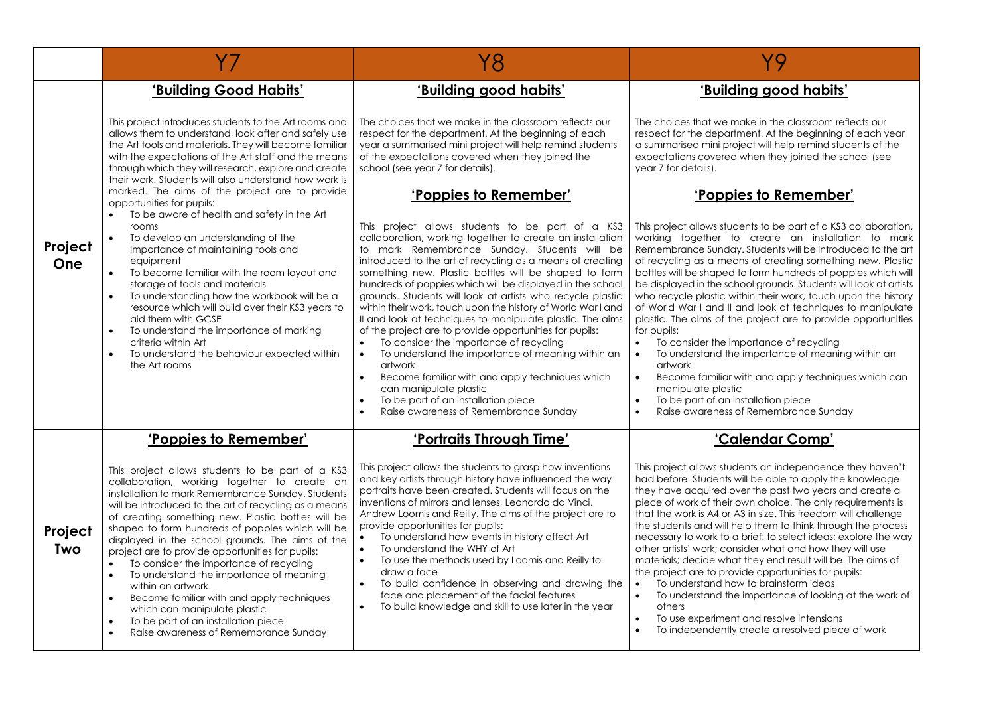|                       | Y7                                                                                                                                                                                                                                                                                                                                                                                                                                                                                                                                                                                                                                                                                                                                                                        | Y8                                                                                                                                                                                                                                                                                                                                                                                                                                                                                                                                                                                                                                                                                                                                                                                                                                                                                                                                 | Y9                                                                                                                                                                                                                                                                                                                                                                                                                                                                                                                                                                                                                                                                                                                                                                                                                                                                                                                                              |
|-----------------------|---------------------------------------------------------------------------------------------------------------------------------------------------------------------------------------------------------------------------------------------------------------------------------------------------------------------------------------------------------------------------------------------------------------------------------------------------------------------------------------------------------------------------------------------------------------------------------------------------------------------------------------------------------------------------------------------------------------------------------------------------------------------------|------------------------------------------------------------------------------------------------------------------------------------------------------------------------------------------------------------------------------------------------------------------------------------------------------------------------------------------------------------------------------------------------------------------------------------------------------------------------------------------------------------------------------------------------------------------------------------------------------------------------------------------------------------------------------------------------------------------------------------------------------------------------------------------------------------------------------------------------------------------------------------------------------------------------------------|-------------------------------------------------------------------------------------------------------------------------------------------------------------------------------------------------------------------------------------------------------------------------------------------------------------------------------------------------------------------------------------------------------------------------------------------------------------------------------------------------------------------------------------------------------------------------------------------------------------------------------------------------------------------------------------------------------------------------------------------------------------------------------------------------------------------------------------------------------------------------------------------------------------------------------------------------|
|                       | 'Building Good Habits'                                                                                                                                                                                                                                                                                                                                                                                                                                                                                                                                                                                                                                                                                                                                                    | 'Building good habits'                                                                                                                                                                                                                                                                                                                                                                                                                                                                                                                                                                                                                                                                                                                                                                                                                                                                                                             | 'Building good habits'                                                                                                                                                                                                                                                                                                                                                                                                                                                                                                                                                                                                                                                                                                                                                                                                                                                                                                                          |
|                       | This project introduces students to the Art rooms and<br>allows them to understand, look after and safely use<br>the Art tools and materials. They will become familiar<br>with the expectations of the Art staff and the means<br>through which they will research, explore and create<br>their work. Students will also understand how work is                                                                                                                                                                                                                                                                                                                                                                                                                          | The choices that we make in the classroom reflects our<br>respect for the department. At the beginning of each<br>year a summarised mini project will help remind students<br>of the expectations covered when they joined the<br>school (see year 7 for details).                                                                                                                                                                                                                                                                                                                                                                                                                                                                                                                                                                                                                                                                 | The choices that we make in the classroom reflects our<br>respect for the department. At the beginning of each year<br>a summarised mini project will help remind students of the<br>expectations covered when they joined the school (see<br>year 7 for details).                                                                                                                                                                                                                                                                                                                                                                                                                                                                                                                                                                                                                                                                              |
|                       | marked. The aims of the project are to provide<br>opportunities for pupils:                                                                                                                                                                                                                                                                                                                                                                                                                                                                                                                                                                                                                                                                                               | 'Poppies to Remember'                                                                                                                                                                                                                                                                                                                                                                                                                                                                                                                                                                                                                                                                                                                                                                                                                                                                                                              | 'Poppies to Remember'                                                                                                                                                                                                                                                                                                                                                                                                                                                                                                                                                                                                                                                                                                                                                                                                                                                                                                                           |
| Project<br>One        | To be aware of health and safety in the Art<br>rooms<br>To develop an understanding of the<br>importance of maintaining tools and<br>equipment<br>$\bullet$<br>To become familiar with the room layout and<br>storage of tools and materials<br>To understanding how the workbook will be a<br>resource which will build over their KS3 years to<br>aid them with GCSE<br>To understand the importance of marking<br>$\bullet$<br>criteria within Art<br>To understand the behaviour expected within<br>$\bullet$<br>the Art rooms                                                                                                                                                                                                                                        | This project allows students to be part of a KS3<br>collaboration, working together to create an installation<br>to mark Remembrance Sunday. Students will be<br>introduced to the art of recycling as a means of creating<br>something new. Plastic bottles will be shaped to form<br>hundreds of poppies which will be displayed in the school<br>grounds. Students will look at artists who recycle plastic<br>within their work, touch upon the history of World War I and<br>Il and look at techniques to manipulate plastic. The aims<br>of the project are to provide opportunities for pupils:<br>To consider the importance of recycling<br>$\bullet$<br>To understand the importance of meaning within an<br>artwork<br>Become familiar with and apply techniques which<br>$\bullet$<br>can manipulate plastic<br>To be part of an installation piece<br>$\bullet$<br>Raise awareness of Remembrance Sunday<br>$\bullet$ | This project allows students to be part of a KS3 collaboration,<br>working together to create an installation to mark<br>Remembrance Sunday. Students will be introduced to the art<br>of recycling as a means of creating something new. Plastic<br>bottles will be shaped to form hundreds of poppies which will<br>be displayed in the school grounds. Students will look at artists<br>who recycle plastic within their work, touch upon the history<br>of World War I and II and look at techniques to manipulate<br>plastic. The aims of the project are to provide opportunities<br>for pupils:<br>To consider the importance of recycling<br>$\bullet$<br>To understand the importance of meaning within an<br>$\bullet$<br>artwork<br>Become familiar with and apply techniques which can<br>$\bullet$<br>manipulate plastic<br>To be part of an installation piece<br>$\bullet$<br>Raise awareness of Remembrance Sunday<br>$\bullet$ |
|                       | 'Poppies to Remember'                                                                                                                                                                                                                                                                                                                                                                                                                                                                                                                                                                                                                                                                                                                                                     | 'Portraits Through Time'                                                                                                                                                                                                                                                                                                                                                                                                                                                                                                                                                                                                                                                                                                                                                                                                                                                                                                           | 'Calendar Comp'                                                                                                                                                                                                                                                                                                                                                                                                                                                                                                                                                                                                                                                                                                                                                                                                                                                                                                                                 |
| Project<br><b>Two</b> | This project allows students to be part of a KS3<br>collaboration, working together to create an<br>installation to mark Remembrance Sunday. Students<br>will be introduced to the art of recycling as a means<br>of creating something new. Plastic bottles will be<br>shaped to form hundreds of poppies which will be<br>displayed in the school grounds. The aims of the<br>project are to provide opportunities for pupils:<br>To consider the importance of recycling<br>$\bullet$<br>To understand the importance of meaning<br>$\bullet$<br>within an artwork<br>Become familiar with and apply techniques<br>$\bullet$<br>which can manipulate plastic<br>To be part of an installation piece<br>$\bullet$<br>$\bullet$<br>Raise awareness of Remembrance Sunday | This project allows the students to grasp how inventions<br>and key artists through history have influenced the way<br>portraits have been created. Students will focus on the<br>inventions of mirrors and lenses, Leonardo da Vinci,<br>Andrew Loomis and Reilly. The aims of the project are to<br>provide opportunities for pupils:<br>To understand how events in history affect Art<br>To understand the WHY of Art<br>$\bullet$<br>To use the methods used by Loomis and Reilly to<br>$\bullet$<br>draw a face<br>To build confidence in observing and drawing the<br>face and placement of the facial features<br>To build knowledge and skill to use later in the year                                                                                                                                                                                                                                                    | This project allows students an independence they haven't<br>had before. Students will be able to apply the knowledge<br>they have acquired over the past two years and create a<br>piece of work of their own choice. The only requirements is<br>that the work is A4 or A3 in size. This freedom will challenge<br>the students and will help them to think through the process<br>necessary to work to a brief: to select ideas; explore the way<br>other artists' work; consider what and how they will use<br>materials; decide what they end result will be. The aims of<br>the project are to provide opportunities for pupils:<br>To understand how to brainstorm ideas<br>$\bullet$<br>To understand the importance of looking at the work of<br>$\bullet$<br>others<br>To use experiment and resolve intensions<br>$\bullet$<br>To independently create a resolved piece of work                                                      |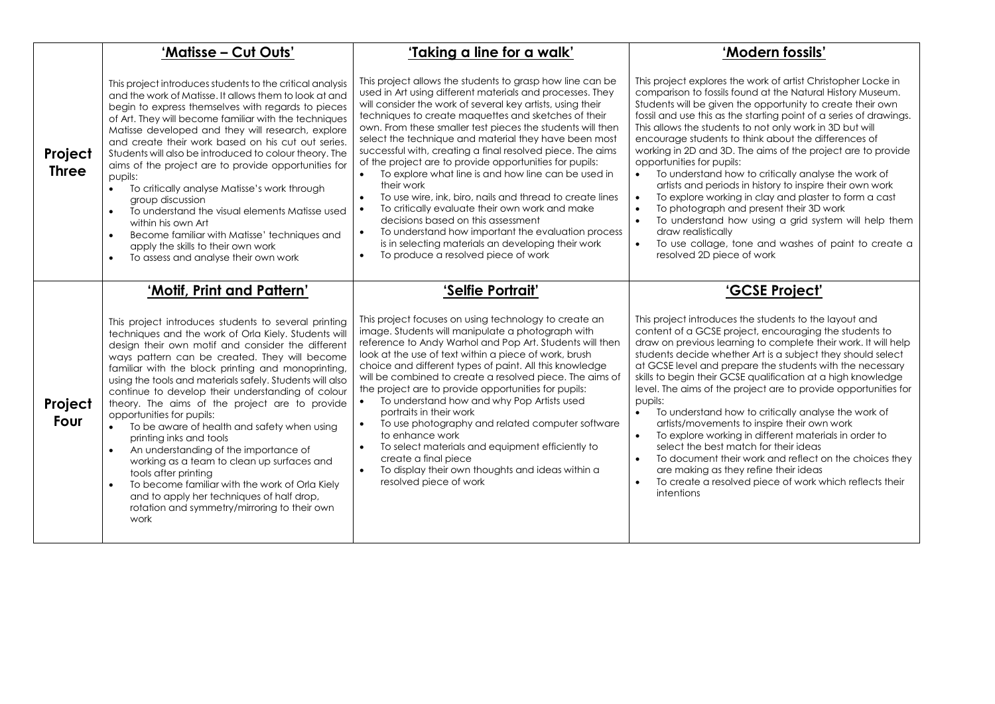|                         | 'Matisse - Cut Outs'                                                                                                                                                                                                                                                                                                                                                                                                                                                                                                                                                                                                                                                                                                                                                                                                                               | 'Taking a line for a walk'                                                                                                                                                                                                                                                                                                                                                                                                                                                                                                                                                                                                                                                                                                                                                                                                                                                                         | 'Modern fossils'                                                                                                                                                                                                                                                                                                                                                                                                                                                                                                                                                                                                                                                                                                                                                                                                                                                                                                                 |
|-------------------------|----------------------------------------------------------------------------------------------------------------------------------------------------------------------------------------------------------------------------------------------------------------------------------------------------------------------------------------------------------------------------------------------------------------------------------------------------------------------------------------------------------------------------------------------------------------------------------------------------------------------------------------------------------------------------------------------------------------------------------------------------------------------------------------------------------------------------------------------------|----------------------------------------------------------------------------------------------------------------------------------------------------------------------------------------------------------------------------------------------------------------------------------------------------------------------------------------------------------------------------------------------------------------------------------------------------------------------------------------------------------------------------------------------------------------------------------------------------------------------------------------------------------------------------------------------------------------------------------------------------------------------------------------------------------------------------------------------------------------------------------------------------|----------------------------------------------------------------------------------------------------------------------------------------------------------------------------------------------------------------------------------------------------------------------------------------------------------------------------------------------------------------------------------------------------------------------------------------------------------------------------------------------------------------------------------------------------------------------------------------------------------------------------------------------------------------------------------------------------------------------------------------------------------------------------------------------------------------------------------------------------------------------------------------------------------------------------------|
| Project<br><b>Three</b> | This project introduces students to the critical analysis<br>and the work of Matisse. It allows them to look at and<br>begin to express themselves with regards to pieces<br>of Art. They will become familiar with the techniques<br>Matisse developed and they will research, explore<br>and create their work based on his cut out series.<br>Students will also be introduced to colour theory. The<br>aims of the project are to provide opportunities for<br>pupils:<br>To critically analyse Matisse's work through<br>$\bullet$<br>group discussion<br>To understand the visual elements Matisse used<br>$\bullet$<br>within his own Art<br>Become familiar with Matisse' techniques and<br>$\bullet$<br>apply the skills to their own work<br>To assess and analyse their own work<br>$\bullet$                                           | This project allows the students to grasp how line can be<br>used in Art using different materials and processes. They<br>will consider the work of several key artists, using their<br>techniques to create maquettes and sketches of their<br>own. From these smaller test pieces the students will then<br>select the technique and material they have been most<br>successful with, creating a final resolved piece. The aims<br>of the project are to provide opportunities for pupils:<br>To explore what line is and how line can be used in<br>their work<br>To use wire, ink, biro, nails and thread to create lines<br>To critically evaluate their own work and make<br>decisions based on this assessment<br>To understand how important the evaluation process<br>$\bullet$<br>is in selecting materials an developing their work<br>To produce a resolved piece of work<br>$\bullet$ | This project explores the work of artist Christopher Locke in<br>comparison to fossils found at the Natural History Museum.<br>Students will be given the opportunity to create their own<br>fossil and use this as the starting point of a series of drawings.<br>This allows the students to not only work in 3D but will<br>encourage students to think about the differences of<br>working in 2D and 3D. The aims of the project are to provide<br>opportunities for pupils:<br>• To understand how to critically analyse the work of<br>artists and periods in history to inspire their own work<br>To explore working in clay and plaster to form a cast<br>$\bullet$<br>To photograph and present their 3D work<br>$\bullet$<br>To understand how using a grid system will help them<br>$\bullet$<br>draw realistically<br>To use collage, tone and washes of paint to create a<br>$\bullet$<br>resolved 2D piece of work |
|                         | 'Motif, Print and Pattern'                                                                                                                                                                                                                                                                                                                                                                                                                                                                                                                                                                                                                                                                                                                                                                                                                         | 'Selfie Portrait'                                                                                                                                                                                                                                                                                                                                                                                                                                                                                                                                                                                                                                                                                                                                                                                                                                                                                  | 'GCSE Project'                                                                                                                                                                                                                                                                                                                                                                                                                                                                                                                                                                                                                                                                                                                                                                                                                                                                                                                   |
| Project<br>Four         | This project introduces students to several printing<br>techniques and the work of Orla Kiely. Students will<br>design their own motif and consider the different<br>ways pattern can be created. They will become<br>familiar with the block printing and monoprinting,<br>using the tools and materials safely. Students will also<br>continue to develop their understanding of colour<br>theory. The aims of the project are to provide<br>opportunities for pupils:<br>To be aware of health and safety when using<br>$\bullet$<br>printing inks and tools<br>An understanding of the importance of<br>working as a team to clean up surfaces and<br>tools after printing<br>To become familiar with the work of Orla Kiely<br>$\bullet$<br>and to apply her techniques of half drop,<br>rotation and symmetry/mirroring to their own<br>work | This project focuses on using technology to create an<br>image. Students will manipulate a photograph with<br>reference to Andy Warhol and Pop Art. Students will then<br>look at the use of text within a piece of work, brush<br>choice and different types of paint. All this knowledge<br>will be combined to create a resolved piece. The aims of<br>the project are to provide opportunities for pupils:<br>To understand how and why Pop Artists used<br>portraits in their work<br>To use photography and related computer software<br>to enhance work<br>To select materials and equipment efficiently to<br>$\bullet$<br>create a final piece<br>To display their own thoughts and ideas within a<br>resolved piece of work                                                                                                                                                              | This project introduces the students to the layout and<br>content of a GCSE project, encouraging the students to<br>draw on previous learning to complete their work. It will help<br>students decide whether Art is a subject they should select<br>at GCSE level and prepare the students with the necessary<br>skills to begin their GCSE qualification at a high knowledge<br>level. The aims of the project are to provide opportunities for<br>pupils:<br>$\bullet$<br>To understand how to critically analyse the work of<br>artists/movements to inspire their own work<br>To explore working in different materials in order to<br>$\bullet$<br>select the best match for their ideas<br>To document their work and reflect on the choices they<br>$\bullet$<br>are making as they refine their ideas<br>To create a resolved piece of work which reflects their<br>$\bullet$<br>intentions                             |